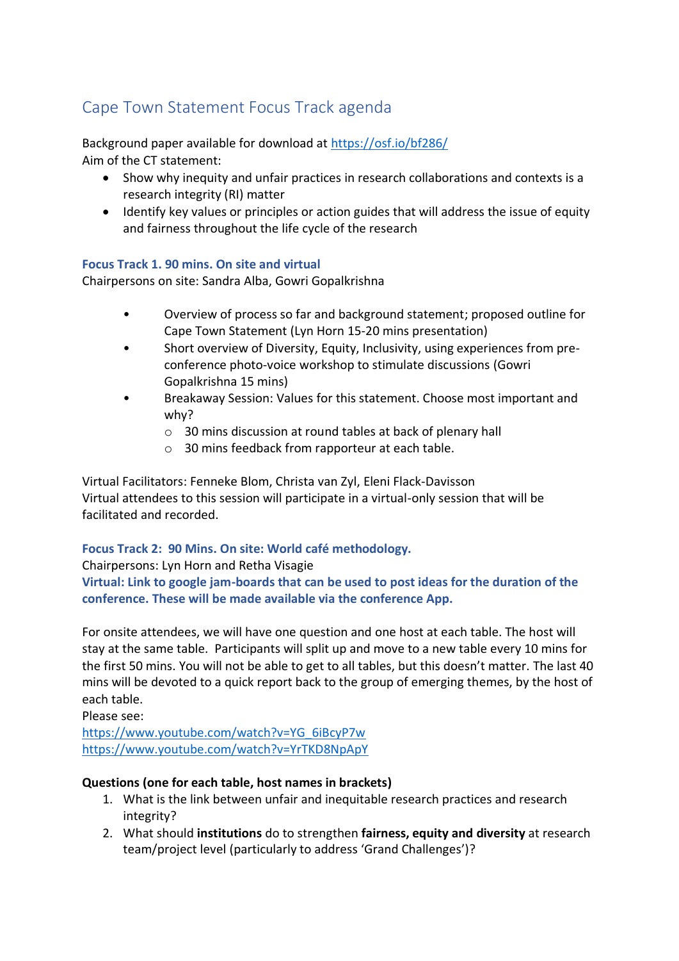# Cape Town Statement Focus Track agenda

Background paper available for download at<https://osf.io/bf286/> Aim of the CT statement:

- Show why inequity and unfair practices in research collaborations and contexts is a research integrity (RI) matter
- Identify key values or principles or action guides that will address the issue of equity and fairness throughout the life cycle of the research

#### **Focus Track 1. 90 mins. On site and virtual**

Chairpersons on site: Sandra Alba, Gowri Gopalkrishna

- Overview of process so far and background statement; proposed outline for Cape Town Statement (Lyn Horn 15-20 mins presentation)
- Short overview of Diversity, Equity, Inclusivity, using experiences from preconference photo-voice workshop to stimulate discussions (Gowri Gopalkrishna 15 mins)
- Breakaway Session: Values for this statement. Choose most important and why?
	- o 30 mins discussion at round tables at back of plenary hall
	- o 30 mins feedback from rapporteur at each table.

Virtual Facilitators: Fenneke Blom, Christa van Zyl, Eleni Flack-Davisson Virtual attendees to this session will participate in a virtual-only session that will be facilitated and recorded.

## **Focus Track 2: 90 Mins. On site: World café methodology.**

#### Chairpersons: Lyn Horn and Retha Visagie

**Virtual: Link to google jam-boards that can be used to post ideas for the duration of the conference. These will be made available via the conference App.** 

For onsite attendees, we will have one question and one host at each table. The host will stay at the same table. Participants will split up and move to a new table every 10 mins for the first 50 mins. You will not be able to get to all tables, but this doesn't matter. The last 40 mins will be devoted to a quick report back to the group of emerging themes, by the host of each table.

Please see:

[https://www.youtube.com/watch?v=YG\\_6iBcyP7w](https://www.youtube.com/watch?v=YG_6iBcyP7w) <https://www.youtube.com/watch?v=YrTKD8NpApY>

## **Questions (one for each table, host names in brackets)**

- 1. What is the link between unfair and inequitable research practices and research integrity?
- 2. What should **institutions** do to strengthen **fairness, equity and diversity** at research team/project level (particularly to address 'Grand Challenges')?